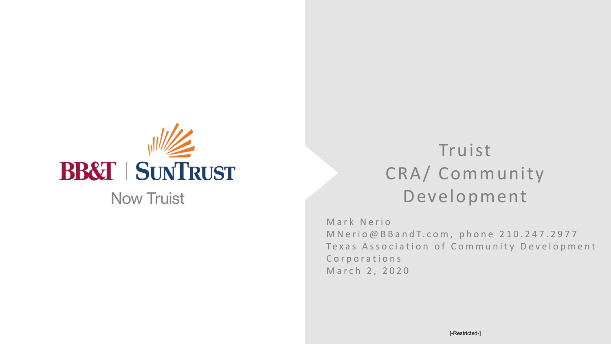

# Truist CRA/ Community Development

Mark Nerio MNerio@BBandT.com, phone 210.247.2977 Texas Association of Community Development Corporations March 2, 2020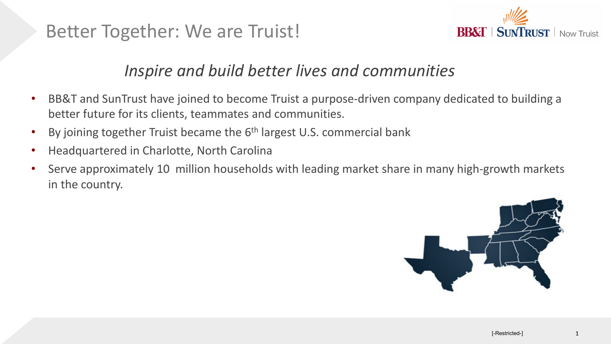Better Together: We are Truist!



### *Inspire and build better lives and communities*

- BB&T and SunTrust have joined to become Truist a purpose-driven company dedicated to building a better future for its clients, teammates and communities.
- By joining together Truist became the 6<sup>th</sup> largest U.S. commercial bank
- Headquartered in Charlotte, North Carolina
- Serve approximately 10 million households with leading market share in many high-growth markets in the country.

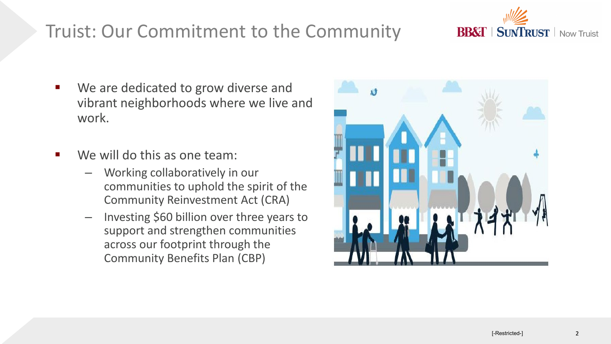### Truist: Our Commitment to the Community

- We are dedicated to grow diverse and vibrant neighborhoods where we live and work.
- We will do this as one team:
	- Working collaboratively in our communities to uphold the spirit of the Community Reinvestment Act (CRA)
	- Investing \$60 billion over three years to support and strengthen communities across our footprint through the Community Benefits Plan (CBP)



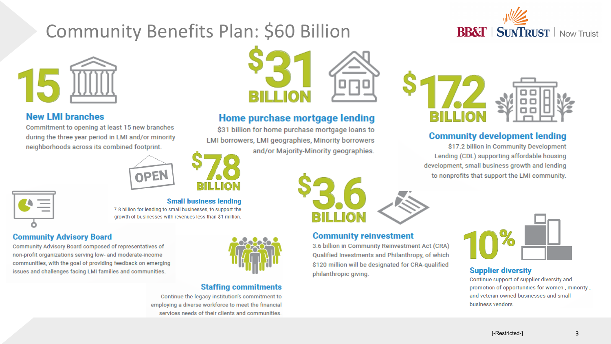## Community Benefits Plan: \$60 Billion



#### **New LMI branches**

Commitment to opening at least 15 new branches during the three year period in LMI and/or minority neighborhoods across its combined footprint.



7.8 billion for lending to small businesses, to support the growth of businesses with revenues less than \$1 million.



### **Community Advisory Board**

Community Advisory Board composed of representatives of non-profit organizations serving low- and moderate-income communities, with the goal of providing feedback on emerging issues and challenges facing LMI families and communities.



#### **Staffing commitments**

Continue the legacy institution's commitment to employing a diverse workforce to meet the financial services needs of their clients and communities.

**Small business lending** 



#### Home purchase mortgage lending

\$31 billion for home purchase mortgage loans to LMI borrowers, LMI geographies, Minority borrowers and/or Majority-Minority geographies.



#### **Community reinvestment**

3.6 billion in Community Reinvestment Act (CRA) Qualified Investments and Philanthropy, of which \$120 million will be designated for CRA-qualified philanthropic giving.





#### **Community development lending**

\$17.2 billion in Community Development Lending (CDL) supporting affordable housing development, small business growth and lending to nonprofits that support the LMI community.



#### **Supplier diversity**

Continue support of supplier diversity and promotion of opportunities for women-, minority-, and veteran-owned businesses and small business vendors.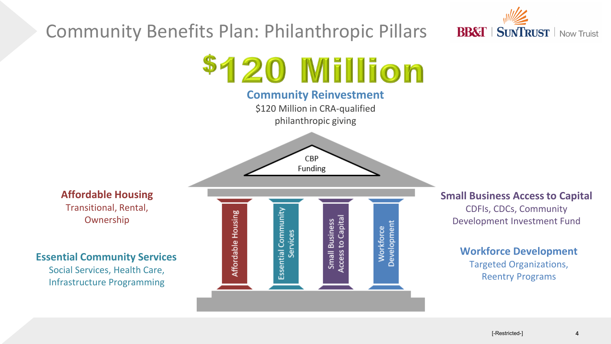

### Community Benefits Plan: Philanthropic Pillars



#### **Small Business Access to Capital**

CDFIs, CDCs, Community Development Investment Fund

```
Workforce Development
Targeted Organizations,
```
Reentry Programs

Transitional, Rental, Ownership

**Affordable Housing**

**Essential Community Services** 

Social Services, Health Care, Infrastructure Programming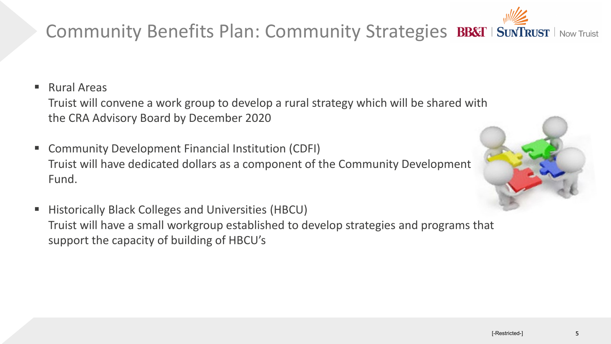## Community Benefits Plan: Community Strategies BB&T | SUNTRUST | Now Truist

■ Rural Areas

Truist will convene a work group to develop a rural strategy which will be shared with the CRA Advisory Board by December 2020

- **E** Community Development Financial Institution (CDFI) Truist will have dedicated dollars as a component of the Community Development Fund.
- **Historically Black Colleges and Universities (HBCU)** Truist will have a small workgroup established to develop strategies and programs that support the capacity of building of HBCU's

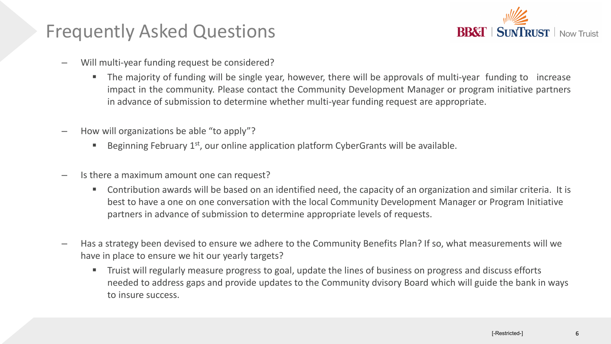### Frequently Asked Questions



- Will multi-year funding request be considered?
	- The majority of funding will be single year, however, there will be approvals of multi-year funding to increase impact in the community. Please contact the Community Development Manager or program initiative partners in advance of submission to determine whether multi-year funding request are appropriate.
- How will organizations be able "to apply"?
	- Beginning February  $1<sup>st</sup>$ , our online application platform CyberGrants will be available.
- Is there a maximum amount one can request?
	- Contribution awards will be based on an identified need, the capacity of an organization and similar criteria. It is best to have a one on one conversation with the local Community Development Manager or Program Initiative partners in advance of submission to determine appropriate levels of requests.
- Has a strategy been devised to ensure we adhere to the Community Benefits Plan? If so, what measurements will we have in place to ensure we hit our yearly targets?
	- **The Truist will regularly measure progress to goal, update the lines of business on progress and discuss efforts** needed to address gaps and provide updates to the Community dvisory Board which will guide the bank in ways to insure success.